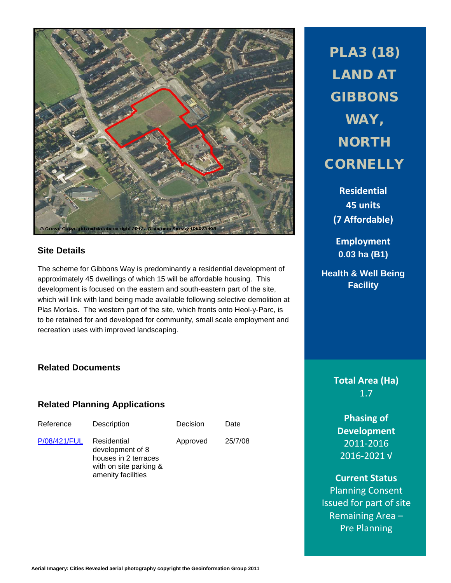

## **Site Details**

The scheme for Gibbons Way is predominantly a residential development of approximately 45 dwellings of which 15 will be affordable housing. This development is focused on the eastern and south-eastern part of the site, which will link with land being made available following selective demolition at Plas Morlais. The western part of the site, which fronts onto Heol-y-Parc, is to be retained for and developed for community, small scale employment and recreation uses with improved landscaping.

## **Related Documents**

## **Related Planning Applications**

| Reference    | Description                                                                                             | Decision | Date    |
|--------------|---------------------------------------------------------------------------------------------------------|----------|---------|
| P/08/421/FUL | Residential<br>development of 8<br>houses in 2 terraces<br>with on site parking &<br>amenity facilities | Approved | 25/7/08 |

PLA3 (18) LAND AT **GIBBONS** WAY, **NORTH CORNELLY** 

**Residential 45 units (7 Affordable)**

**Employment 0.03 ha (B1)**

**Health & Well Being Facility**

> **Total Area (Ha)** 1.7

**Phasing of Development** 2011-2016 2016-2021 √

**Current Status** Planning Consent Issued for part of site Remaining Area – Pre Planning